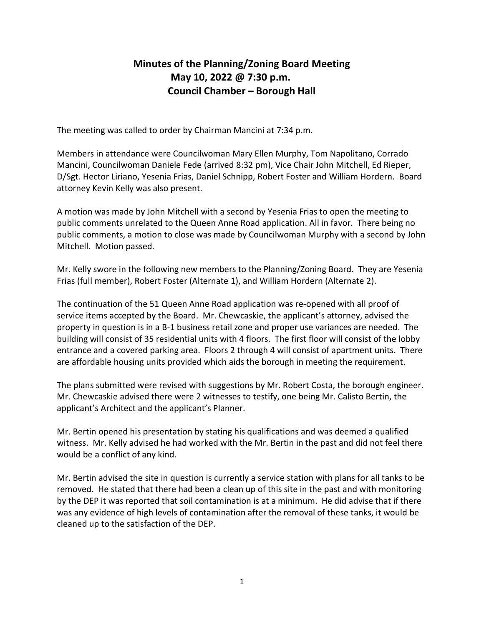## Minutes of the Planning/Zoning Board Meeting May 10, 2022 @ 7:30 p.m. Council Chamber – Borough Hall

The meeting was called to order by Chairman Mancini at 7:34 p.m.

Members in attendance were Councilwoman Mary Ellen Murphy, Tom Napolitano, Corrado Mancini, Councilwoman Daniele Fede (arrived 8:32 pm), Vice Chair John Mitchell, Ed Rieper, D/Sgt. Hector Liriano, Yesenia Frias, Daniel Schnipp, Robert Foster and William Hordern. Board attorney Kevin Kelly was also present.

A motion was made by John Mitchell with a second by Yesenia Frias to open the meeting to public comments unrelated to the Queen Anne Road application. All in favor. There being no public comments, a motion to close was made by Councilwoman Murphy with a second by John Mitchell. Motion passed.

Mr. Kelly swore in the following new members to the Planning/Zoning Board. They are Yesenia Frias (full member), Robert Foster (Alternate 1), and William Hordern (Alternate 2).

The continuation of the 51 Queen Anne Road application was re-opened with all proof of service items accepted by the Board. Mr. Chewcaskie, the applicant's attorney, advised the property in question is in a B-1 business retail zone and proper use variances are needed. The building will consist of 35 residential units with 4 floors. The first floor will consist of the lobby entrance and a covered parking area. Floors 2 through 4 will consist of apartment units. There are affordable housing units provided which aids the borough in meeting the requirement.

The plans submitted were revised with suggestions by Mr. Robert Costa, the borough engineer. Mr. Chewcaskie advised there were 2 witnesses to testify, one being Mr. Calisto Bertin, the applicant's Architect and the applicant's Planner.

Mr. Bertin opened his presentation by stating his qualifications and was deemed a qualified witness. Mr. Kelly advised he had worked with the Mr. Bertin in the past and did not feel there would be a conflict of any kind.

Mr. Bertin advised the site in question is currently a service station with plans for all tanks to be removed. He stated that there had been a clean up of this site in the past and with monitoring by the DEP it was reported that soil contamination is at a minimum. He did advise that if there was any evidence of high levels of contamination after the removal of these tanks, it would be cleaned up to the satisfaction of the DEP.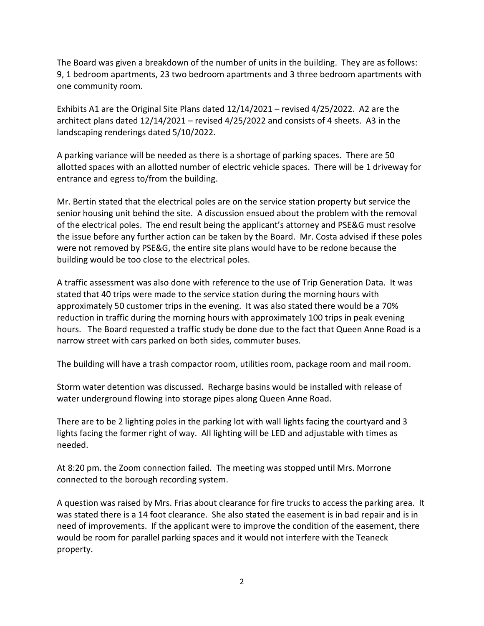The Board was given a breakdown of the number of units in the building. They are as follows: 9, 1 bedroom apartments, 23 two bedroom apartments and 3 three bedroom apartments with one community room.

Exhibits A1 are the Original Site Plans dated 12/14/2021 – revised 4/25/2022. A2 are the architect plans dated 12/14/2021 – revised 4/25/2022 and consists of 4 sheets. A3 in the landscaping renderings dated 5/10/2022.

A parking variance will be needed as there is a shortage of parking spaces. There are 50 allotted spaces with an allotted number of electric vehicle spaces. There will be 1 driveway for entrance and egress to/from the building.

Mr. Bertin stated that the electrical poles are on the service station property but service the senior housing unit behind the site. A discussion ensued about the problem with the removal of the electrical poles. The end result being the applicant's attorney and PSE&G must resolve the issue before any further action can be taken by the Board. Mr. Costa advised if these poles were not removed by PSE&G, the entire site plans would have to be redone because the building would be too close to the electrical poles.

A traffic assessment was also done with reference to the use of Trip Generation Data. It was stated that 40 trips were made to the service station during the morning hours with approximately 50 customer trips in the evening. It was also stated there would be a 70% reduction in traffic during the morning hours with approximately 100 trips in peak evening hours. The Board requested a traffic study be done due to the fact that Queen Anne Road is a narrow street with cars parked on both sides, commuter buses.

The building will have a trash compactor room, utilities room, package room and mail room.

Storm water detention was discussed. Recharge basins would be installed with release of water underground flowing into storage pipes along Queen Anne Road.

There are to be 2 lighting poles in the parking lot with wall lights facing the courtyard and 3 lights facing the former right of way. All lighting will be LED and adjustable with times as needed.

At 8:20 pm. the Zoom connection failed. The meeting was stopped until Mrs. Morrone connected to the borough recording system.

A question was raised by Mrs. Frias about clearance for fire trucks to access the parking area. It was stated there is a 14 foot clearance. She also stated the easement is in bad repair and is in need of improvements. If the applicant were to improve the condition of the easement, there would be room for parallel parking spaces and it would not interfere with the Teaneck property.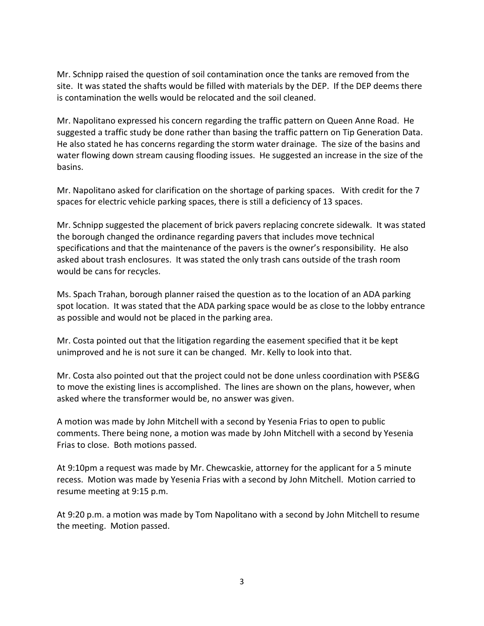Mr. Schnipp raised the question of soil contamination once the tanks are removed from the site. It was stated the shafts would be filled with materials by the DEP. If the DEP deems there is contamination the wells would be relocated and the soil cleaned.

Mr. Napolitano expressed his concern regarding the traffic pattern on Queen Anne Road. He suggested a traffic study be done rather than basing the traffic pattern on Tip Generation Data. He also stated he has concerns regarding the storm water drainage. The size of the basins and water flowing down stream causing flooding issues. He suggested an increase in the size of the basins.

Mr. Napolitano asked for clarification on the shortage of parking spaces. With credit for the 7 spaces for electric vehicle parking spaces, there is still a deficiency of 13 spaces.

Mr. Schnipp suggested the placement of brick pavers replacing concrete sidewalk. It was stated the borough changed the ordinance regarding pavers that includes move technical specifications and that the maintenance of the pavers is the owner's responsibility. He also asked about trash enclosures. It was stated the only trash cans outside of the trash room would be cans for recycles.

Ms. Spach Trahan, borough planner raised the question as to the location of an ADA parking spot location. It was stated that the ADA parking space would be as close to the lobby entrance as possible and would not be placed in the parking area.

Mr. Costa pointed out that the litigation regarding the easement specified that it be kept unimproved and he is not sure it can be changed. Mr. Kelly to look into that.

Mr. Costa also pointed out that the project could not be done unless coordination with PSE&G to move the existing lines is accomplished. The lines are shown on the plans, however, when asked where the transformer would be, no answer was given.

A motion was made by John Mitchell with a second by Yesenia Frias to open to public comments. There being none, a motion was made by John Mitchell with a second by Yesenia Frias to close. Both motions passed.

At 9:10pm a request was made by Mr. Chewcaskie, attorney for the applicant for a 5 minute recess. Motion was made by Yesenia Frias with a second by John Mitchell. Motion carried to resume meeting at 9:15 p.m.

At 9:20 p.m. a motion was made by Tom Napolitano with a second by John Mitchell to resume the meeting. Motion passed.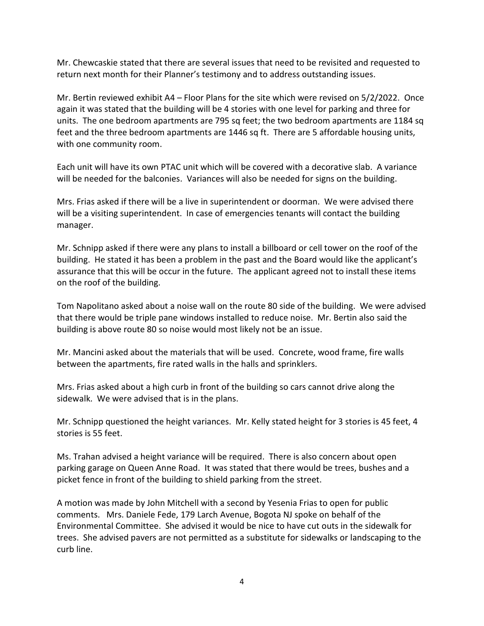Mr. Chewcaskie stated that there are several issues that need to be revisited and requested to return next month for their Planner's testimony and to address outstanding issues.

Mr. Bertin reviewed exhibit A4 – Floor Plans for the site which were revised on 5/2/2022. Once again it was stated that the building will be 4 stories with one level for parking and three for units. The one bedroom apartments are 795 sq feet; the two bedroom apartments are 1184 sq feet and the three bedroom apartments are 1446 sq ft. There are 5 affordable housing units, with one community room.

Each unit will have its own PTAC unit which will be covered with a decorative slab. A variance will be needed for the balconies. Variances will also be needed for signs on the building.

Mrs. Frias asked if there will be a live in superintendent or doorman. We were advised there will be a visiting superintendent. In case of emergencies tenants will contact the building manager.

Mr. Schnipp asked if there were any plans to install a billboard or cell tower on the roof of the building. He stated it has been a problem in the past and the Board would like the applicant's assurance that this will be occur in the future. The applicant agreed not to install these items on the roof of the building.

Tom Napolitano asked about a noise wall on the route 80 side of the building. We were advised that there would be triple pane windows installed to reduce noise. Mr. Bertin also said the building is above route 80 so noise would most likely not be an issue.

Mr. Mancini asked about the materials that will be used. Concrete, wood frame, fire walls between the apartments, fire rated walls in the halls and sprinklers.

Mrs. Frias asked about a high curb in front of the building so cars cannot drive along the sidewalk. We were advised that is in the plans.

Mr. Schnipp questioned the height variances. Mr. Kelly stated height for 3 stories is 45 feet, 4 stories is 55 feet.

Ms. Trahan advised a height variance will be required. There is also concern about open parking garage on Queen Anne Road. It was stated that there would be trees, bushes and a picket fence in front of the building to shield parking from the street.

A motion was made by John Mitchell with a second by Yesenia Frias to open for public comments. Mrs. Daniele Fede, 179 Larch Avenue, Bogota NJ spoke on behalf of the Environmental Committee. She advised it would be nice to have cut outs in the sidewalk for trees. She advised pavers are not permitted as a substitute for sidewalks or landscaping to the curb line.